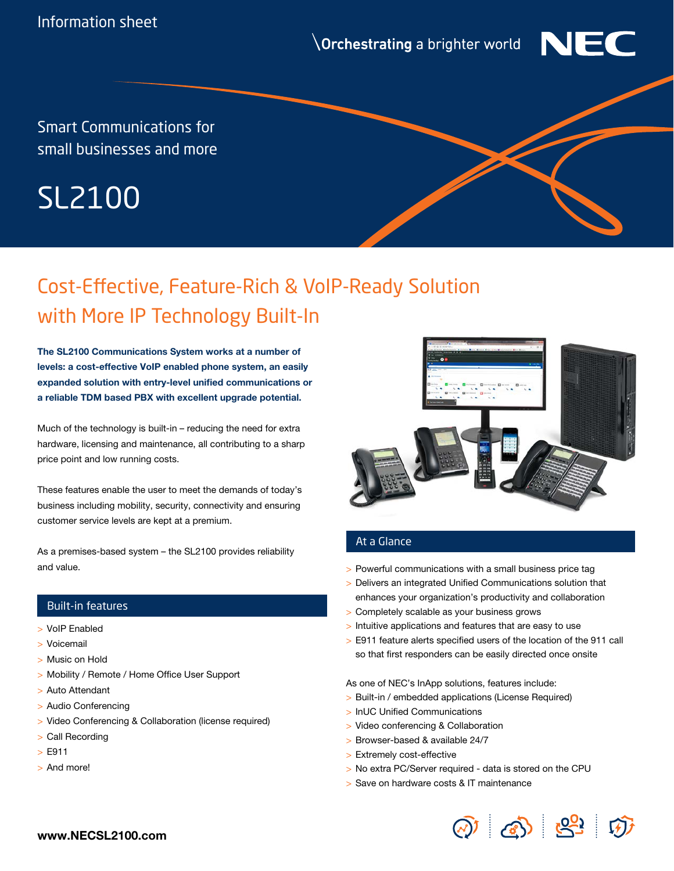**\Orchestrating** a brighter world



Smart Communications for small businesses and more

# SL2100

## Cost-Effective, Feature-Rich & VoIP-Ready Solution with More IP Technology Built-In

The SL2100 Communications System works at a number of levels: a cost-effective VoIP enabled phone system, an easily expanded solution with entry-level unified communications or a reliable TDM based PBX with excellent upgrade potential.

Much of the technology is built-in – reducing the need for extra hardware, licensing and maintenance, all contributing to a sharp price point and low running costs.

These features enable the user to meet the demands of today's business including mobility, security, connectivity and ensuring customer service levels are kept at a premium.

As a premises-based system – the SL2100 provides reliability and value.

#### Built-in features

- > VoIP Enabled
- > Voicemail
- > Music on Hold
- > Mobility / Remote / Home Office User Support
- > Auto Attendant
- > Audio Conferencing
- > Video Conferencing & Collaboration (license required)
- > Call Recording
- > E911
- > And more!



#### At a Glance

- > Powerful communications with a small business price tag
- > Delivers an integrated Unified Communications solution that enhances your organization's productivity and collaboration
- > Completely scalable as your business grows
- > Intuitive applications and features that are easy to use
- > E911 feature alerts specified users of the location of the 911 call so that first responders can be easily directed once onsite

As one of NEC's InApp solutions, features include:

- > Built-in / embedded applications (License Required)
- > InUC Unified Communications
- > Video conferencing & Collaboration
- > Browser-based & available 24/7
- > Extremely cost-effective
- > No extra PC/Server required data is stored on the CPU
- > Save on hardware costs & IT maintenance

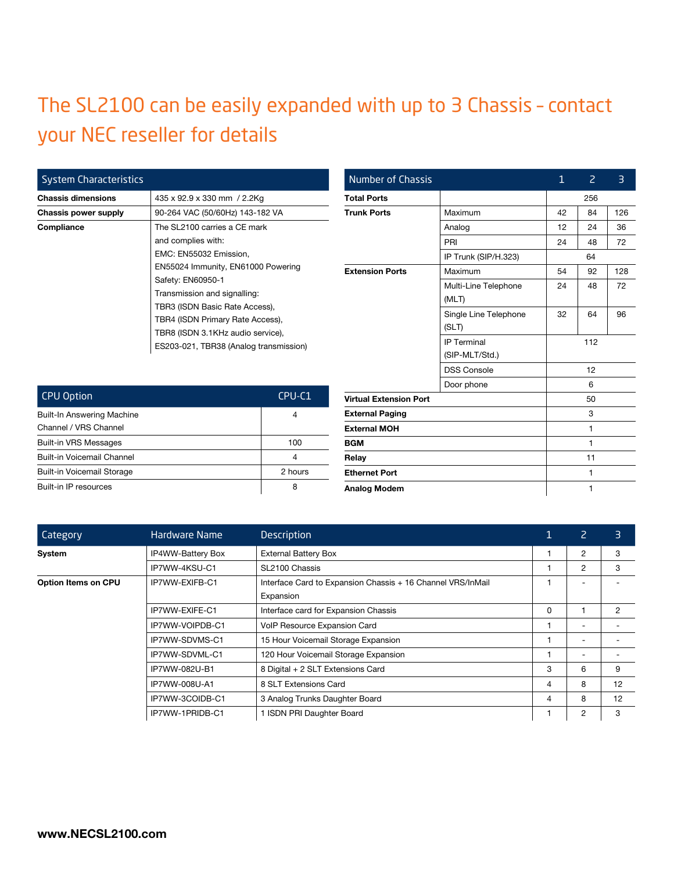### The SL2100 can be easily expanded with up to 3 Chassis – contact your NEC reseller for details

| <b>System Characteristics</b> |                                        |  |  |  |
|-------------------------------|----------------------------------------|--|--|--|
| <b>Chassis dimensions</b>     | 435 x 92.9 x 330 mm / 2.2Kg            |  |  |  |
| Chassis power supply          | 90-264 VAC (50/60Hz) 143-182 VA        |  |  |  |
| Compliance                    | The SL2100 carries a CE mark           |  |  |  |
|                               | and complies with:                     |  |  |  |
|                               | EMC: EN55032 Emission,                 |  |  |  |
|                               | EN55024 Immunity, EN61000 Powering     |  |  |  |
|                               | Safety: EN60950-1                      |  |  |  |
|                               | Transmission and signalling:           |  |  |  |
|                               | TBR3 (ISDN Basic Rate Access),         |  |  |  |
|                               | TBR4 (ISDN Primary Rate Access),       |  |  |  |
|                               | TBR8 (ISDN 3.1KHz audio service),      |  |  |  |
|                               | ES203-021, TBR38 (Analog transmission) |  |  |  |

| <b>Number of Chassis</b>      |                                      | $\mathbf{1}$ | $\overline{2}$ | 3   |  |
|-------------------------------|--------------------------------------|--------------|----------------|-----|--|
| <b>Total Ports</b>            |                                      |              | 256            |     |  |
| <b>Trunk Ports</b>            | Maximum                              | 42           | 84             | 126 |  |
|                               | Analog                               | 12           | 24             | 36  |  |
|                               | PRI                                  | 24           | 48             | 72  |  |
|                               | IP Trunk (SIP/H.323)                 |              | 64             |     |  |
| <b>Extension Ports</b>        | Maximum                              | 54           | 92             | 128 |  |
|                               | Multi-Line Telephone<br>(MLT)        | 24           | 48             | 72  |  |
|                               | Single Line Telephone<br>(SLT)       | 32           | 64             | 96  |  |
|                               | <b>IP Terminal</b><br>(SIP-MLT/Std.) |              | 112            |     |  |
|                               | <b>DSS Console</b>                   |              | 12             |     |  |
|                               | Door phone                           |              | 6              |     |  |
| <b>Virtual Extension Port</b> |                                      |              | 50             |     |  |
| <b>External Paging</b>        |                                      |              | 3              |     |  |
| <b>External MOH</b>           |                                      |              | $\mathbf{1}$   |     |  |
| <b>BGM</b>                    |                                      |              | 1              |     |  |
| Relay                         |                                      |              | 11             |     |  |
| <b>Ethernet Port</b>          |                                      |              | 1              |     |  |
| <b>Analog Modem</b>           |                                      |              | 1              |     |  |

| <b>CPU Option</b>                 | CPU-C1  |  |
|-----------------------------------|---------|--|
| Built-In Answering Machine        | 4       |  |
| Channel / VRS Channel             |         |  |
| <b>Built-in VRS Messages</b>      | 100     |  |
| Built-in Voicemail Channel        | 4       |  |
| <b>Built-in Voicemail Storage</b> | 2 hours |  |
| Built-in IP resources             | 8       |  |

| Category            | Hardware Name     | <b>Description</b>                                          |   | 2                        | 3              |
|---------------------|-------------------|-------------------------------------------------------------|---|--------------------------|----------------|
| System              | IP4WW-Battery Box | <b>External Battery Box</b>                                 |   | 2                        | 3              |
|                     | IP7WW-4KSU-C1     | SL2100 Chassis                                              |   | 2                        | 3              |
| Option Items on CPU | IP7WW-EXIFB-C1    | Interface Card to Expansion Chassis + 16 Channel VRS/InMail |   |                          |                |
|                     |                   | Expansion                                                   |   |                          |                |
|                     | IP7WW-EXIFE-C1    | Interface card for Expansion Chassis                        | 0 |                          | $\overline{2}$ |
|                     | IP7WW-VOIPDB-C1   | VoIP Resource Expansion Card                                |   | $\overline{\phantom{a}}$ |                |
|                     | IP7WW-SDVMS-C1    | 15 Hour Voicemail Storage Expansion                         |   | $\overline{\phantom{a}}$ |                |
|                     | IP7WW-SDVML-C1    | 120 Hour Voicemail Storage Expansion                        |   | $\overline{\phantom{a}}$ |                |
|                     | IP7WW-082U-B1     | 8 Digital + 2 SLT Extensions Card                           | 3 | 6                        | 9              |
|                     | IP7WW-008U-A1     | 8 SLT Extensions Card                                       | 4 | 8                        | 12             |
|                     | IP7WW-3COIDB-C1   | 3 Analog Trunks Daughter Board                              | 4 | 8                        | 12             |
|                     | IP7WW-1PRIDB-C1   | <b>ISDN PRI Daughter Board</b>                              |   | 2                        | 3              |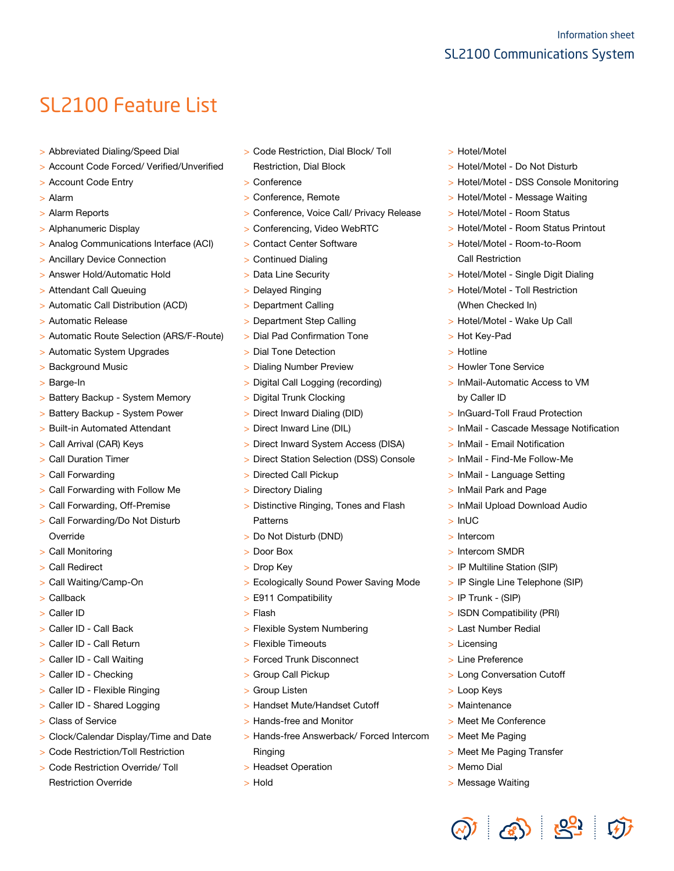### SL2100 Feature List

- > Abbreviated Dialing/Speed Dial
- > Account Code Forced/ Verified/Unverified
- > Account Code Entry
- > Alarm
- > Alarm Reports
- > Alphanumeric Display
- > Analog Communications Interface (ACI)
- > Ancillary Device Connection
- > Answer Hold/Automatic Hold
- > Attendant Call Queuing
- > Automatic Call Distribution (ACD)
- > Automatic Release
- > Automatic Route Selection (ARS/F-Route)
- > Automatic System Upgrades
- > Background Music
- > Barge-In
- > Battery Backup System Memory
- > Battery Backup System Power
- > Built-in Automated Attendant
- > Call Arrival (CAR) Keys
- > Call Duration Timer
- > Call Forwarding
- > Call Forwarding with Follow Me
- > Call Forwarding, Off-Premise
- > Call Forwarding/Do Not Disturb Override
- > Call Monitoring
- > Call Redirect
- > Call Waiting/Camp-On
- > Callback
- > Caller ID
- > Caller ID Call Back
- > Caller ID Call Return
- > Caller ID Call Waiting
- > Caller ID Checking
- > Caller ID Flexible Ringing
- > Caller ID Shared Logging
- > Class of Service
- > Clock/Calendar Display/Time and Date
- > Code Restriction/Toll Restriction
- > Code Restriction Override/ Toll Restriction Override
- > Code Restriction, Dial Block/ Toll Restriction, Dial Block
- > Conference
- > Conference, Remote
- > Conference, Voice Call/ Privacy Release
- > Conferencing, Video WebRTC
- > Contact Center Software
- > Continued Dialing
- > Data Line Security
- > Delayed Ringing
- > Department Calling
- > Department Step Calling
- > Dial Pad Confirmation Tone
- > Dial Tone Detection
- > Dialing Number Preview
- > Digital Call Logging (recording)
- > Digital Trunk Clocking
- > Direct Inward Dialing (DID)
- > Direct Inward Line (DIL)
- > Direct Inward System Access (DISA)
- > Direct Station Selection (DSS) Console
- > Directed Call Pickup
- > Directory Dialing
- > Distinctive Ringing, Tones and Flash Patterns
- > Do Not Disturb (DND)
- > Door Box
- > Drop Key
- > Ecologically Sound Power Saving Mode
- > E911 Compatibility
- > Flash
- > Flexible System Numbering
- > Flexible Timeouts
- > Forced Trunk Disconnect
- > Group Call Pickup
- > Group Listen
- > Handset Mute/Handset Cutoff
- > Hands-free and Monitor
- > Hands-free Answerback/ Forced Intercom Ringing
- > Headset Operation
- > Hold
- > Hotel/Motel
- > Hotel/Motel Do Not Disturb
- > Hotel/Motel DSS Console Monitoring
- > Hotel/Motel Message Waiting
- > Hotel/Motel Room Status
- > Hotel/Motel Room Status Printout
- > Hotel/Motel Room-to-Room Call Restriction
- > Hotel/Motel Single Digit Dialing
- > Hotel/Motel Toll Restriction (When Checked In)
- > Hotel/Motel Wake Up Call
- > Hot Key-Pad
- > Hotline

> InUC > Intercom

- > Howler Tone Service
- > InMail-Automatic Access to VM by Caller ID
- > InGuard-Toll Fraud Protection
- > InMail Cascade Message Notification
- > InMail Email Notification
- > InMail Find-Me Follow-Me

> InMail Upload Download Audio

> InMail - Language Setting

> InMail Park and Page

> Intercom SMDR

> IP Trunk - (SIP)

> Licensing > Line Preference

> Loop Keys > Maintenance

> Memo Dial > Message Waiting

> IP Multiline Station (SIP) > IP Single Line Telephone (SIP)

> ISDN Compatibility (PRI) > Last Number Redial

> Long Conversation Cutoff

> Meet Me Conference > Meet Me Paging

> Meet Me Paging Transfer

 $\textcircled{3}$   $\textcircled{3}$   $\textcircled{3}$   $\textcircled{3}$